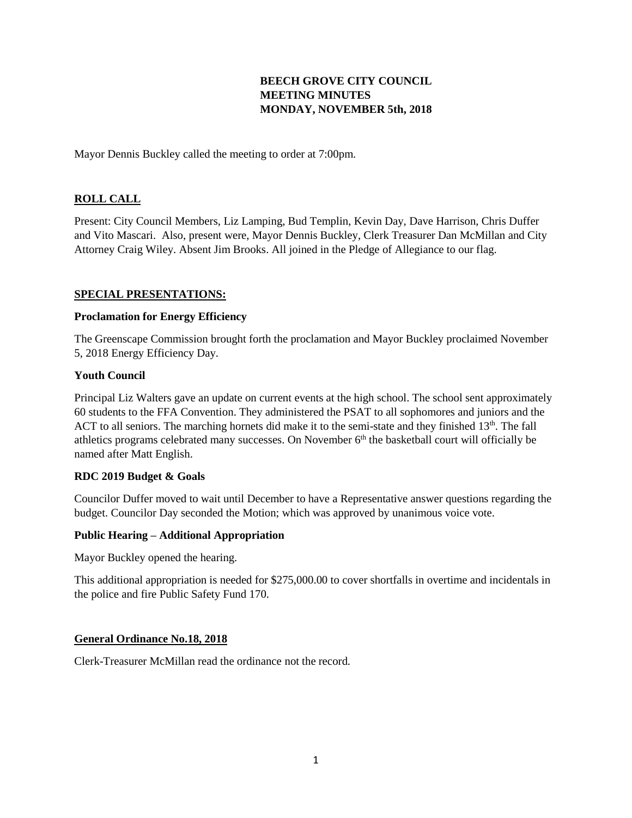# **BEECH GROVE CITY COUNCIL MEETING MINUTES MONDAY, NOVEMBER 5th, 2018**

Mayor Dennis Buckley called the meeting to order at 7:00pm.

## **ROLL CALL**

Present: City Council Members, Liz Lamping, Bud Templin, Kevin Day, Dave Harrison, Chris Duffer and Vito Mascari. Also, present were, Mayor Dennis Buckley, Clerk Treasurer Dan McMillan and City Attorney Craig Wiley. Absent Jim Brooks. All joined in the Pledge of Allegiance to our flag.

#### **SPECIAL PRESENTATIONS:**

#### **Proclamation for Energy Efficiency**

The Greenscape Commission brought forth the proclamation and Mayor Buckley proclaimed November 5, 2018 Energy Efficiency Day.

#### **Youth Council**

Principal Liz Walters gave an update on current events at the high school. The school sent approximately 60 students to the FFA Convention. They administered the PSAT to all sophomores and juniors and the ACT to all seniors. The marching hornets did make it to the semi-state and they finished 13<sup>th</sup>. The fall athletics programs celebrated many successes. On November 6<sup>th</sup> the basketball court will officially be named after Matt English.

### **RDC 2019 Budget & Goals**

Councilor Duffer moved to wait until December to have a Representative answer questions regarding the budget. Councilor Day seconded the Motion; which was approved by unanimous voice vote.

#### **Public Hearing – Additional Appropriation**

Mayor Buckley opened the hearing.

This additional appropriation is needed for \$275,000.00 to cover shortfalls in overtime and incidentals in the police and fire Public Safety Fund 170.

### **General Ordinance No.18, 2018**

Clerk-Treasurer McMillan read the ordinance not the record.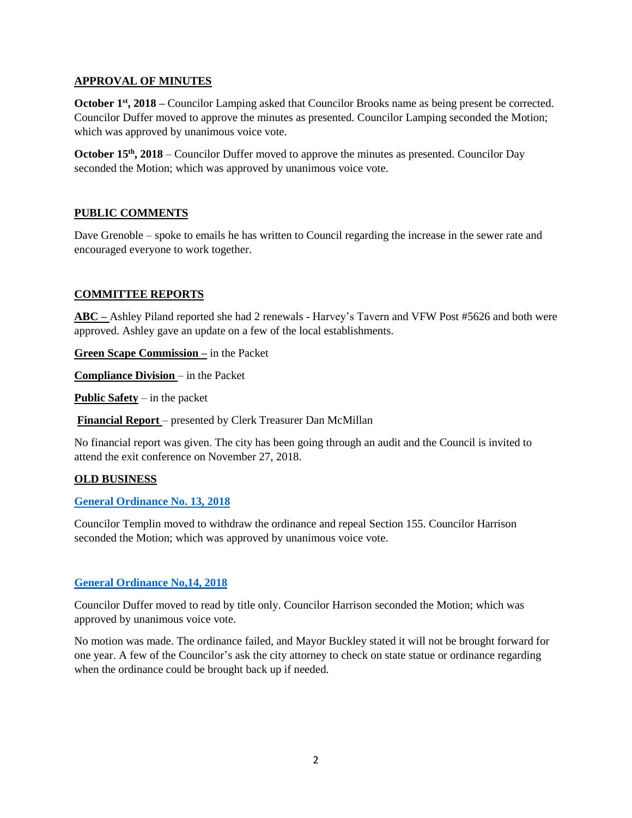### **APPROVAL OF MINUTES**

**October 1<sup>st</sup>**, **2018** – Councilor Lamping asked that Councilor Brooks name as being present be corrected. Councilor Duffer moved to approve the minutes as presented. Councilor Lamping seconded the Motion; which was approved by unanimous voice vote.

**October 15<sup>th</sup>**, 2018 – Councilor Duffer moved to approve the minutes as presented. Councilor Day seconded the Motion; which was approved by unanimous voice vote.

# **PUBLIC COMMENTS**

Dave Grenoble – spoke to emails he has written to Council regarding the increase in the sewer rate and encouraged everyone to work together.

# **COMMITTEE REPORTS**

**ABC –** Ashley Piland reported she had 2 renewals - Harvey's Tavern and VFW Post #5626 and both were approved. Ashley gave an update on a few of the local establishments.

**Green Scape Commission –** in the Packet

**Compliance Division** – in the Packet

**Public Safety** – in the packet

**Financial Report** – presented by Clerk Treasurer Dan McMillan

No financial report was given. The city has been going through an audit and the Council is invited to attend the exit conference on November 27, 2018.

### **OLD BUSINESS**

### **[General Ordinance No. 13, 2018](http://www.beechgrove.com/uploads/1/0/1/2/10129925/general_ordinance_13_2018.pdf)**

Councilor Templin moved to withdraw the ordinance and repeal Section 155. Councilor Harrison seconded the Motion; which was approved by unanimous voice vote.

### **[General Ordinance No,14, 2018](file:///C:/Users/Dan/AppData/Local/Temp/General%20Ordinance%20No.14,2018)**

Councilor Duffer moved to read by title only. Councilor Harrison seconded the Motion; which was approved by unanimous voice vote.

No motion was made. The ordinance failed, and Mayor Buckley stated it will not be brought forward for one year. A few of the Councilor's ask the city attorney to check on state statue or ordinance regarding when the ordinance could be brought back up if needed.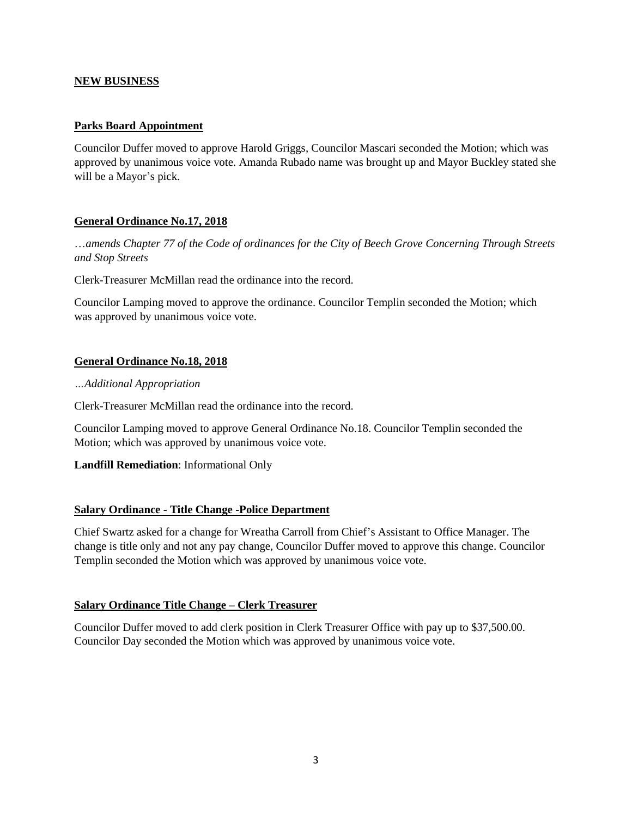### **NEW BUSINESS**

### **Parks Board Appointment**

Councilor Duffer moved to approve Harold Griggs, Councilor Mascari seconded the Motion; which was approved by unanimous voice vote. Amanda Rubado name was brought up and Mayor Buckley stated she will be a Mayor's pick.

# **General Ordinance No.17, 2018**

…*amends Chapter 77 of the Code of ordinances for the City of Beech Grove Concerning Through Streets and Stop Streets*

Clerk-Treasurer McMillan read the ordinance into the record.

Councilor Lamping moved to approve the ordinance. Councilor Templin seconded the Motion; which was approved by unanimous voice vote.

### **General Ordinance No.18, 2018**

#### *…Additional Appropriation*

Clerk-Treasurer McMillan read the ordinance into the record.

Councilor Lamping moved to approve General Ordinance No.18. Councilor Templin seconded the Motion; which was approved by unanimous voice vote.

### **Landfill Remediation**: Informational Only

### **Salary Ordinance - Title Change -Police Department**

Chief Swartz asked for a change for Wreatha Carroll from Chief's Assistant to Office Manager. The change is title only and not any pay change, Councilor Duffer moved to approve this change. Councilor Templin seconded the Motion which was approved by unanimous voice vote.

### **Salary Ordinance Title Change – Clerk Treasurer**

Councilor Duffer moved to add clerk position in Clerk Treasurer Office with pay up to \$37,500.00. Councilor Day seconded the Motion which was approved by unanimous voice vote.